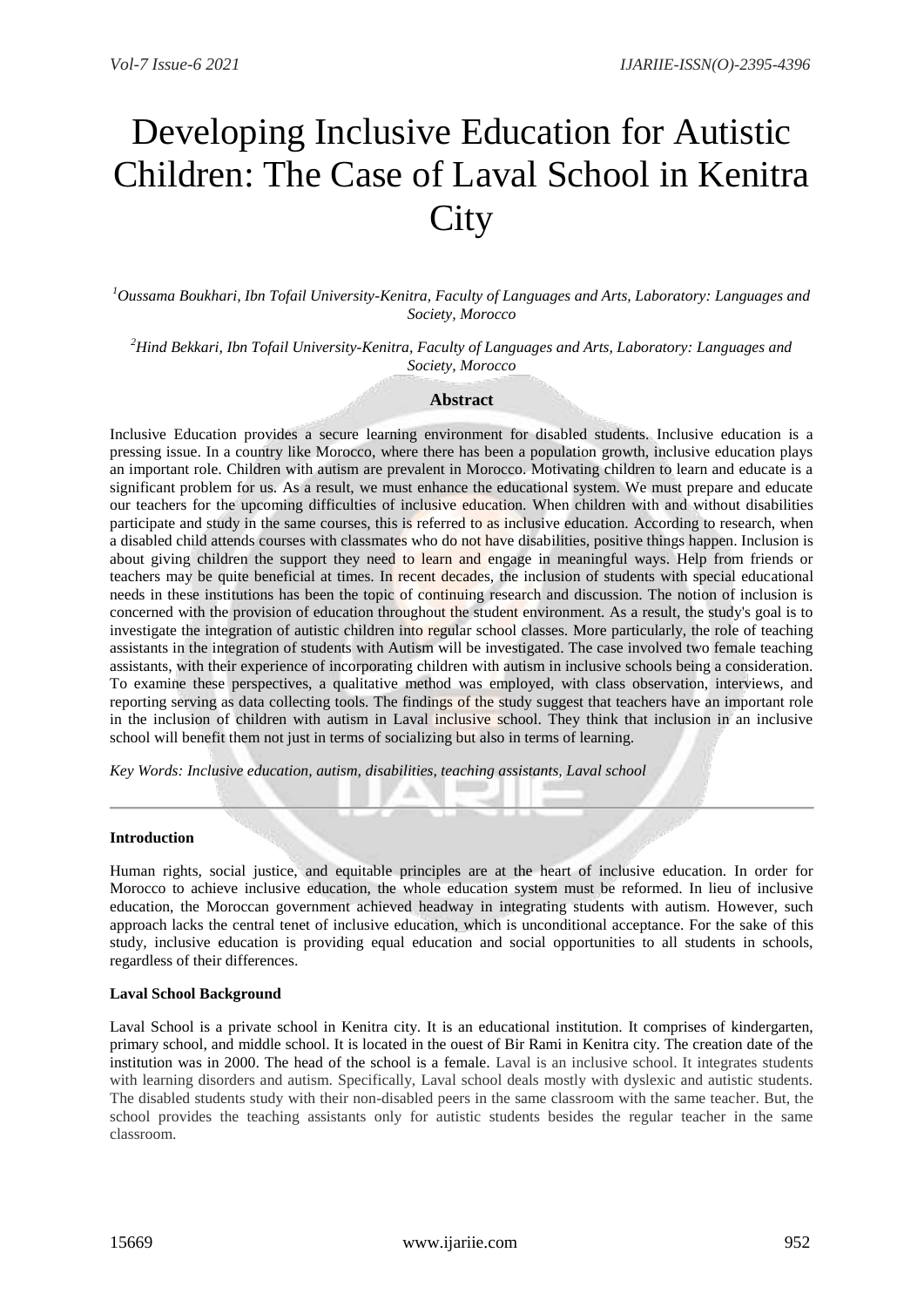# Developing Inclusive Education for Autistic Children: The Case of Laval School in Kenitra **City**

*<sup>1</sup>Oussama Boukhari, Ibn Tofail University-Kenitra, Faculty of Languages and Arts, Laboratory: Languages and Society, Morocco*

*<sup>2</sup>Hind Bekkari, Ibn Tofail University-Kenitra, Faculty of Languages and Arts, Laboratory: Languages and Society, Morocco*

## **Abstract**

Inclusive Education provides a secure learning environment for disabled students. Inclusive education is a pressing issue. In a country like Morocco, where there has been a population growth, inclusive education plays an important role. Children with autism are prevalent in Morocco. Motivating children to learn and educate is a significant problem for us. As a result, we must enhance the educational system. We must prepare and educate our teachers for the upcoming difficulties of inclusive education. When children with and without disabilities participate and study in the same courses, this is referred to as inclusive education. According to research, when a disabled child attends courses with classmates who do not have disabilities, positive things happen. Inclusion is about giving children the support they need to learn and engage in meaningful ways. Help from friends or teachers may be quite beneficial at times. In recent decades, the inclusion of students with special educational needs in these institutions has been the topic of continuing research and discussion. The notion of inclusion is concerned with the provision of education throughout the student environment. As a result, the study's goal is to investigate the integration of autistic children into regular school classes. More particularly, the role of teaching assistants in the integration of students with Autism will be investigated. The case involved two female teaching assistants, with their experience of incorporating children with autism in inclusive schools being a consideration. To examine these perspectives, a qualitative method was employed, with class observation, interviews, and reporting serving as data collecting tools. The findings of the study suggest that teachers have an important role in the inclusion of children with autism in Laval inclusive school. They think that inclusion in an inclusive school will benefit them not just in terms of socializing but also in terms of learning.

*Key Words: Inclusive education, autism, disabilities, teaching assistants, Laval school*

#### **Introduction**

Human rights, social justice, and equitable principles are at the heart of inclusive education. In order for Morocco to achieve inclusive education, the whole education system must be reformed. In lieu of inclusive education, the Moroccan government achieved headway in integrating students with autism. However, such approach lacks the central tenet of inclusive education, which is unconditional acceptance. For the sake of this study, inclusive education is providing equal education and social opportunities to all students in schools, regardless of their differences.

#### **Laval School Background**

Laval School is a private school in Kenitra city. It is an educational institution. It comprises of kindergarten, primary school, and middle school. It is located in the ouest of Bir Rami in Kenitra city. The creation date of the institution was in 2000. The head of the school is a female. Laval is an inclusive school. It integrates students with learning disorders and autism. Specifically, Laval school deals mostly with dyslexic and autistic students. The disabled students study with their non-disabled peers in the same classroom with the same teacher. But, the school provides the teaching assistants only for autistic students besides the regular teacher in the same classroom.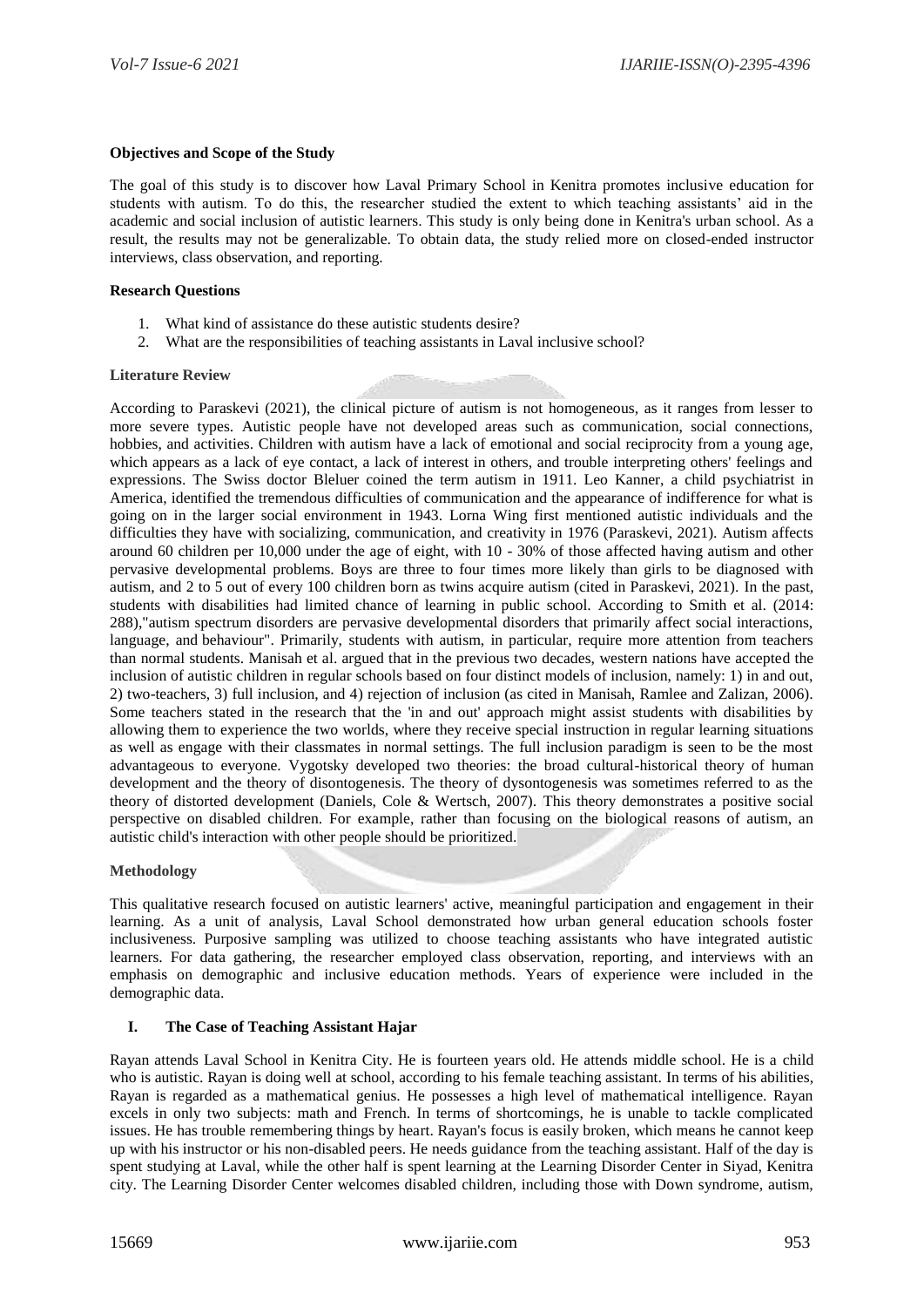# **Objectives and Scope of the Study**

The goal of this study is to discover how Laval Primary School in Kenitra promotes inclusive education for students with autism. To do this, the researcher studied the extent to which teaching assistants' aid in the academic and social inclusion of autistic learners. This study is only being done in Kenitra's urban school. As a result, the results may not be generalizable. To obtain data, the study relied more on closed-ended instructor interviews, class observation, and reporting.

#### **Research Questions**

- 1. What kind of assistance do these autistic students desire?
- 2. What are the responsibilities of teaching assistants in Laval inclusive school?

#### **Literature Review**

According to Paraskevi (2021), the clinical picture of autism is not homogeneous, as it ranges from lesser to more severe types. Autistic people have not developed areas such as communication, social connections, hobbies, and activities. Children with autism have a lack of emotional and social reciprocity from a young age, which appears as a lack of eye contact, a lack of interest in others, and trouble interpreting others' feelings and expressions. The Swiss doctor Bleluer coined the term autism in 1911. Leo Kanner, a child psychiatrist in America, identified the tremendous difficulties of communication and the appearance of indifference for what is going on in the larger social environment in 1943. Lorna Wing first mentioned autistic individuals and the difficulties they have with socializing, communication, and creativity in 1976 (Paraskevi, 2021). Autism affects around 60 children per 10,000 under the age of eight, with 10 - 30% of those affected having autism and other pervasive developmental problems. Boys are three to four times more likely than girls to be diagnosed with autism, and 2 to 5 out of every 100 children born as twins acquire autism (cited in Paraskevi, 2021). In the past, students with disabilities had limited chance of learning in public school. According to Smith et al. (2014: 288),"autism spectrum disorders are pervasive developmental disorders that primarily affect social interactions, language, and behaviour". Primarily, students with autism, in particular, require more attention from teachers than normal students. Manisah et al. argued that in the previous two decades, western nations have accepted the inclusion of autistic children in regular schools based on four distinct models of inclusion, namely: 1) in and out, 2) two-teachers, 3) full inclusion, and 4) rejection of inclusion (as cited in Manisah, Ramlee and Zalizan, 2006). Some teachers stated in the research that the 'in and out' approach might assist students with disabilities by allowing them to experience the two worlds, where they receive special instruction in regular learning situations as well as engage with their classmates in normal settings. The full inclusion paradigm is seen to be the most advantageous to everyone. Vygotsky developed two theories: the broad cultural-historical theory of human development and the theory of disontogenesis. The theory of dysontogenesis was sometimes referred to as the theory of distorted development (Daniels, Cole & Wertsch, 2007). This theory demonstrates a positive social perspective on disabled children. For example, rather than focusing on the biological reasons of autism, an autistic child's interaction with other people should be prioritized.

## **Methodology**

This qualitative research focused on autistic learners' active, meaningful participation and engagement in their learning. As a unit of analysis, Laval School demonstrated how urban general education schools foster inclusiveness. Purposive sampling was utilized to choose teaching assistants who have integrated autistic learners. For data gathering, the researcher employed class observation, reporting, and interviews with an emphasis on demographic and inclusive education methods. Years of experience were included in the demographic data.

## **I. The Case of Teaching Assistant Hajar**

Rayan attends Laval School in Kenitra City. He is fourteen years old. He attends middle school. He is a child who is autistic. Rayan is doing well at school, according to his female teaching assistant. In terms of his abilities, Rayan is regarded as a mathematical genius. He possesses a high level of mathematical intelligence. Rayan excels in only two subjects: math and French. In terms of shortcomings, he is unable to tackle complicated issues. He has trouble remembering things by heart. Rayan's focus is easily broken, which means he cannot keep up with his instructor or his non-disabled peers. He needs guidance from the teaching assistant. Half of the day is spent studying at Laval, while the other half is spent learning at the Learning Disorder Center in Siyad, Kenitra city. The Learning Disorder Center welcomes disabled children, including those with Down syndrome, autism,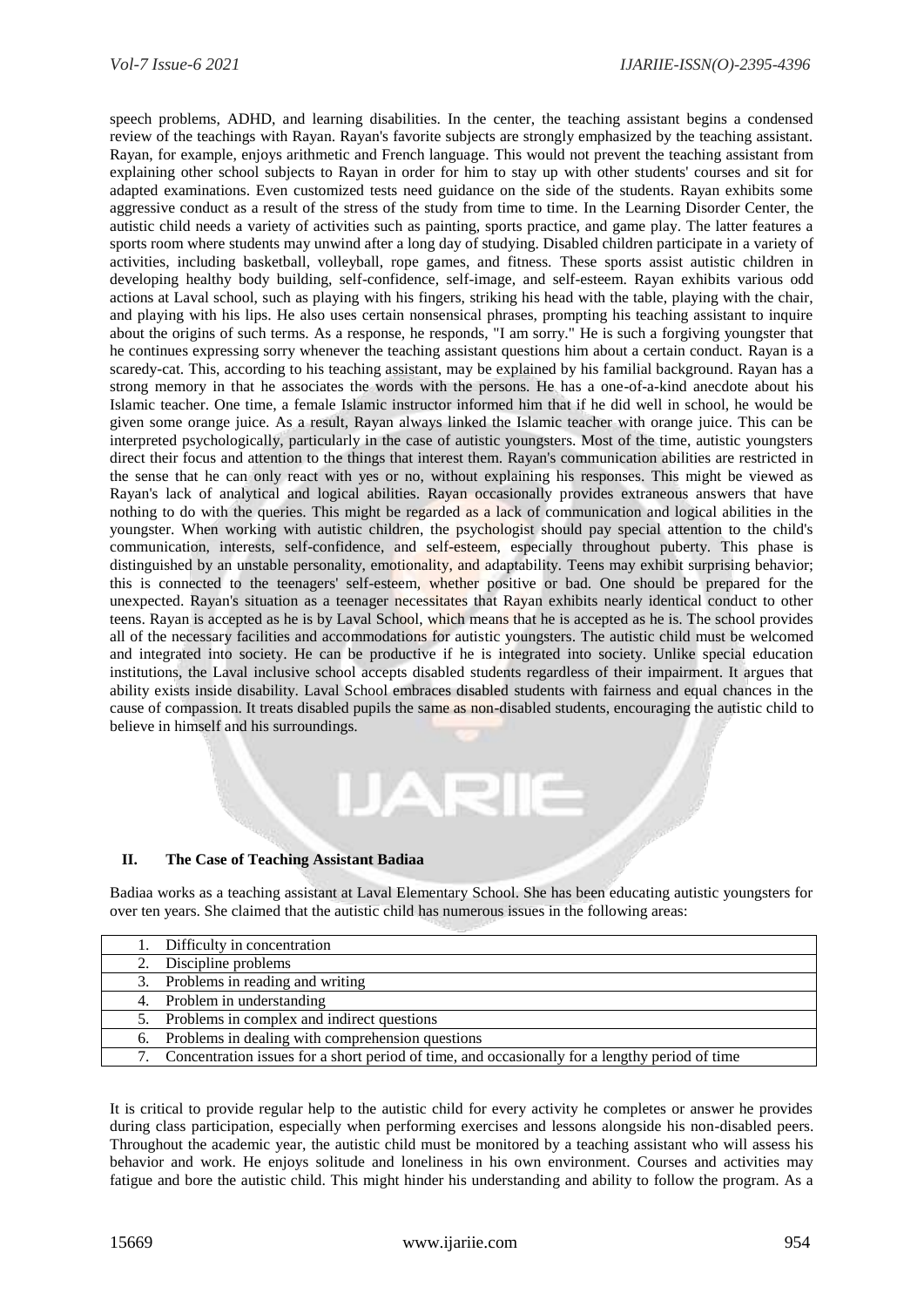speech problems, ADHD, and learning disabilities. In the center, the teaching assistant begins a condensed review of the teachings with Rayan. Rayan's favorite subjects are strongly emphasized by the teaching assistant. Rayan, for example, enjoys arithmetic and French language. This would not prevent the teaching assistant from explaining other school subjects to Rayan in order for him to stay up with other students' courses and sit for adapted examinations. Even customized tests need guidance on the side of the students. Rayan exhibits some aggressive conduct as a result of the stress of the study from time to time. In the Learning Disorder Center, the autistic child needs a variety of activities such as painting, sports practice, and game play. The latter features a sports room where students may unwind after a long day of studying. Disabled children participate in a variety of activities, including basketball, volleyball, rope games, and fitness. These sports assist autistic children in developing healthy body building, self-confidence, self-image, and self-esteem. Rayan exhibits various odd actions at Laval school, such as playing with his fingers, striking his head with the table, playing with the chair, and playing with his lips. He also uses certain nonsensical phrases, prompting his teaching assistant to inquire about the origins of such terms. As a response, he responds, "I am sorry." He is such a forgiving youngster that he continues expressing sorry whenever the teaching assistant questions him about a certain conduct. Rayan is a scaredy-cat. This, according to his teaching assistant, may be explained by his familial background. Rayan has a strong memory in that he associates the words with the persons. He has a one-of-a-kind anecdote about his Islamic teacher. One time, a female Islamic instructor informed him that if he did well in school, he would be given some orange juice. As a result, Rayan always linked the Islamic teacher with orange juice. This can be interpreted psychologically, particularly in the case of autistic youngsters. Most of the time, autistic youngsters direct their focus and attention to the things that interest them. Rayan's communication abilities are restricted in the sense that he can only react with yes or no, without explaining his responses. This might be viewed as Rayan's lack of analytical and logical abilities. Rayan occasionally provides extraneous answers that have nothing to do with the queries. This might be regarded as a lack of communication and logical abilities in the youngster. When working with autistic children, the psychologist should pay special attention to the child's communication, interests, self-confidence, and self-esteem, especially throughout puberty. This phase is distinguished by an unstable personality, emotionality, and adaptability. Teens may exhibit surprising behavior; this is connected to the teenagers' self-esteem, whether positive or bad. One should be prepared for the unexpected. Rayan's situation as a teenager necessitates that Rayan exhibits nearly identical conduct to other teens. Rayan is accepted as he is by Laval School, which means that he is accepted as he is. The school provides all of the necessary facilities and accommodations for autistic youngsters. The autistic child must be welcomed and integrated into society. He can be productive if he is integrated into society. Unlike special education institutions, the Laval inclusive school accepts disabled students regardless of their impairment. It argues that ability exists inside disability. Laval School embraces disabled students with fairness and equal chances in the cause of compassion. It treats disabled pupils the same as non-disabled students, encouraging the autistic child to believe in himself and his surroundings.

# **II. The Case of Teaching Assistant Badiaa**

Badiaa works as a teaching assistant at Laval Elementary School. She has been educating autistic youngsters for over ten years. She claimed that the autistic child has numerous issues in the following areas:

4년

| 1. Difficulty in concentration                                                                    |
|---------------------------------------------------------------------------------------------------|
| 2. Discipline problems                                                                            |
| 3. Problems in reading and writing                                                                |
| 4. Problem in understanding                                                                       |
| 5. Problems in complex and indirect questions                                                     |
| 6. Problems in dealing with comprehension questions                                               |
| 7. Concentration issues for a short period of time, and occasionally for a lengthy period of time |

It is critical to provide regular help to the autistic child for every activity he completes or answer he provides during class participation, especially when performing exercises and lessons alongside his non-disabled peers. Throughout the academic year, the autistic child must be monitored by a teaching assistant who will assess his behavior and work. He enjoys solitude and loneliness in his own environment. Courses and activities may fatigue and bore the autistic child. This might hinder his understanding and ability to follow the program. As a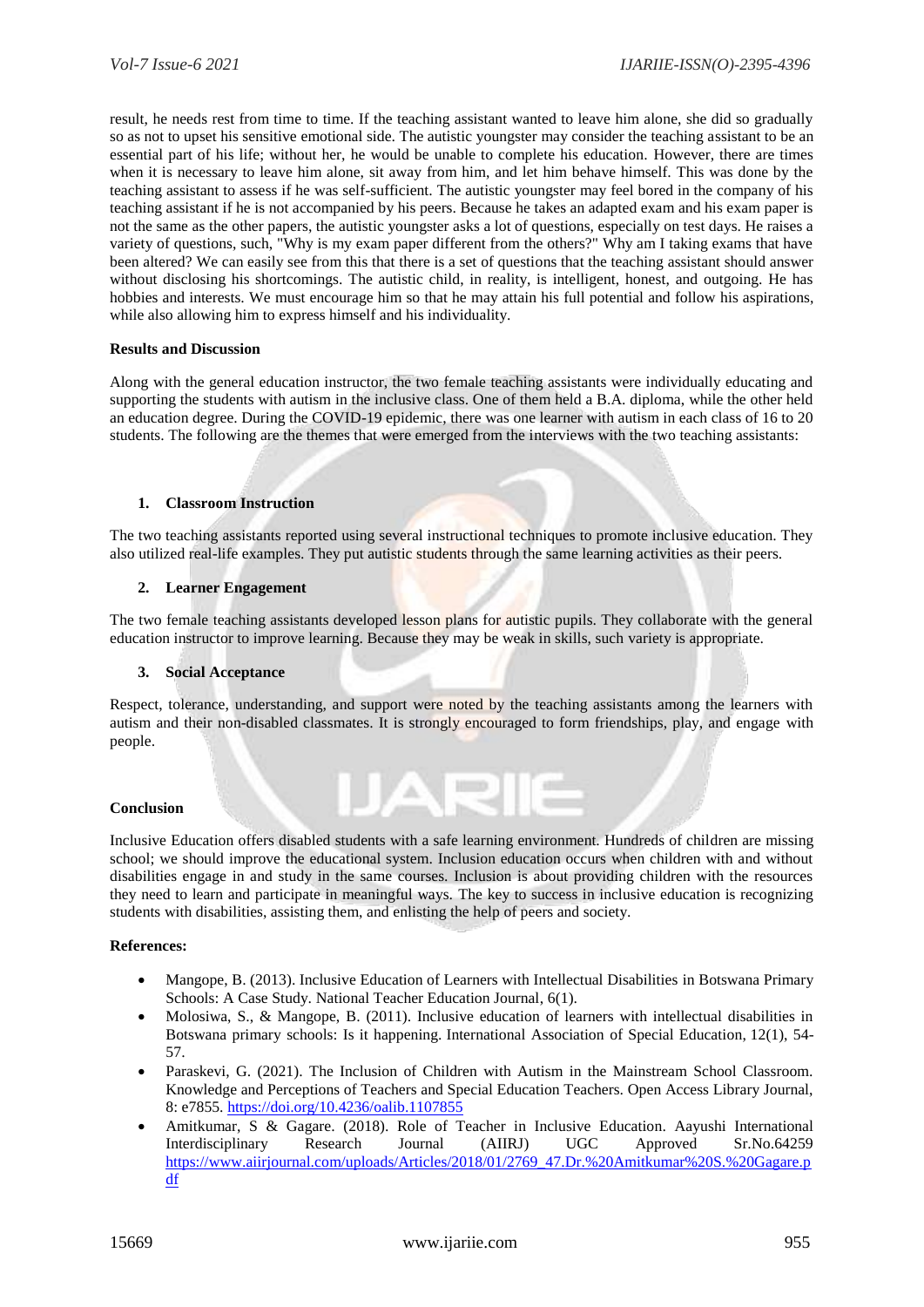result, he needs rest from time to time. If the teaching assistant wanted to leave him alone, she did so gradually so as not to upset his sensitive emotional side. The autistic youngster may consider the teaching assistant to be an essential part of his life; without her, he would be unable to complete his education. However, there are times when it is necessary to leave him alone, sit away from him, and let him behave himself. This was done by the teaching assistant to assess if he was self-sufficient. The autistic youngster may feel bored in the company of his teaching assistant if he is not accompanied by his peers. Because he takes an adapted exam and his exam paper is not the same as the other papers, the autistic youngster asks a lot of questions, especially on test days. He raises a variety of questions, such, "Why is my exam paper different from the others?" Why am I taking exams that have been altered? We can easily see from this that there is a set of questions that the teaching assistant should answer without disclosing his shortcomings. The autistic child, in reality, is intelligent, honest, and outgoing. He has hobbies and interests. We must encourage him so that he may attain his full potential and follow his aspirations, while also allowing him to express himself and his individuality.

#### **Results and Discussion**

Along with the general education instructor, the two female teaching assistants were individually educating and supporting the students with autism in the inclusive class. One of them held a B.A. diploma, while the other held an education degree. During the COVID-19 epidemic, there was one learner with autism in each class of 16 to 20 students. The following are the themes that were emerged from the interviews with the two teaching assistants:

## **1. Classroom Instruction**

The two teaching assistants reported using several instructional techniques to promote inclusive education. They also utilized real-life examples. They put autistic students through the same learning activities as their peers.

#### **2. Learner Engagement**

The two female teaching assistants developed lesson plans for autistic pupils. They collaborate with the general education instructor to improve learning. Because they may be weak in skills, such variety is appropriate.

#### **3. Social Acceptance**

Respect, tolerance, understanding, and support were noted by the teaching assistants among the learners with autism and their non-disabled classmates. It is strongly encouraged to form friendships, play, and engage with people.

## **Conclusion**

Inclusive Education offers disabled students with a safe learning environment. Hundreds of children are missing school; we should improve the educational system. Inclusion education occurs when children with and without disabilities engage in and study in the same courses. Inclusion is about providing children with the resources they need to learn and participate in meaningful ways. The key to success in inclusive education is recognizing students with disabilities, assisting them, and enlisting the help of peers and society.

## **References:**

- Mangope, B. (2013). Inclusive Education of Learners with Intellectual Disabilities in Botswana Primary Schools: A Case Study. National Teacher Education Journal, 6(1).
- Molosiwa, S., & Mangope, B. (2011). Inclusive education of learners with intellectual disabilities in Botswana primary schools: Is it happening. International Association of Special Education, 12(1), 54- 57.
- Paraskevi, G. (2021). The Inclusion of Children with Autism in the Mainstream School Classroom. Knowledge and Perceptions of Teachers and Special Education Teachers. Open Access Library Journal, 8: e7855[. https://doi.org/10.4236/oalib.1107855](https://doi.org/10.4236/oalib.1107855)
- Amitkumar, S & Gagare. (2018). Role of Teacher in Inclusive Education. Aayushi International Interdisciplinary Research Journal (AIIRJ) UGC Approved Sr.No.64259 [https://www.aiirjournal.com/uploads/Articles/2018/01/2769\\_47.Dr.%20Amitkumar%20S.%20Gagare.p](https://www.aiirjournal.com/uploads/Articles/2018/01/2769_47.Dr.%20Amitkumar%20S.%20Gagare.pdf) [df](https://www.aiirjournal.com/uploads/Articles/2018/01/2769_47.Dr.%20Amitkumar%20S.%20Gagare.pdf)